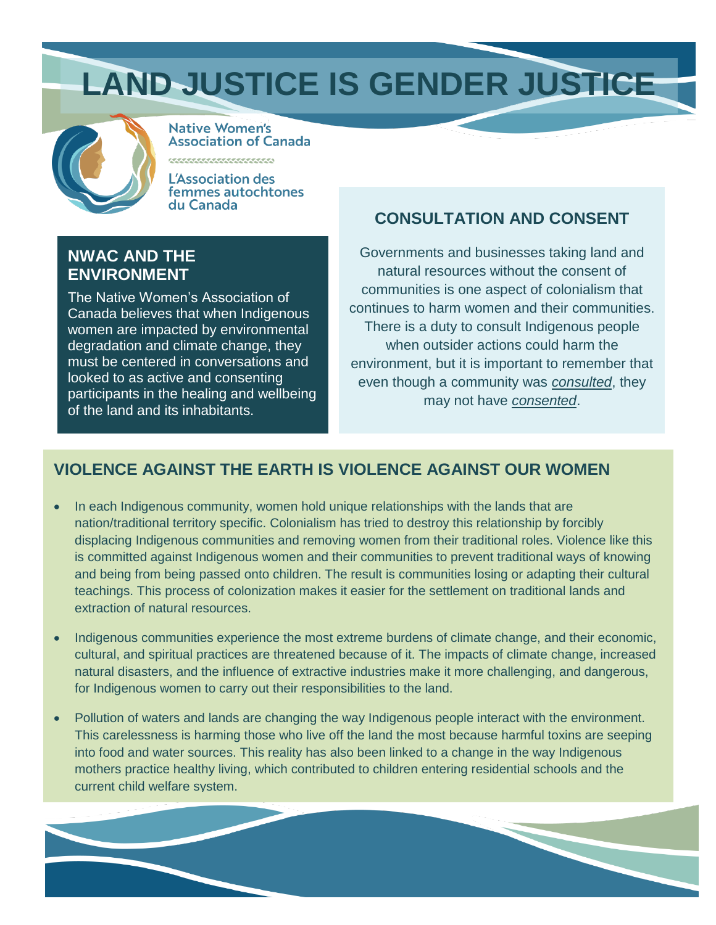# **LAND JUSTICE IS GENDER JUSTICE**



**Native Women's Association of Canada** 

L'Association des femmes autochtones du Canada

,,,,,,,,,,,,,,,,,,,,,

#### **NWAC AND THE ENVIRONMENT**

The Native Women's Association of Canada believes that when Indigenous women are impacted by environmental degradation and climate change, they must be centered in conversations and looked to as active and consenting participants in the healing and wellbeing of the land and its inhabitants.

## **CONSULTATION AND CONSENT**

Governments and businesses taking land and natural resources without the consent of communities is one aspect of colonialism that continues to harm women and their communities. There is a duty to consult Indigenous people when outsider actions could harm the environment, but it is important to remember that even though a community was *consulted*, they may not have *consented*.

### **VIOLENCE AGAINST THE EARTH IS VIOLENCE AGAINST OUR WOMEN**

- In each Indigenous community, women hold unique relationships with the lands that are nation/traditional territory specific. Colonialism has tried to destroy this relationship by forcibly displacing Indigenous communities and removing women from their traditional roles. Violence like this is committed against Indigenous women and their communities to prevent traditional ways of knowing and being from being passed onto children. The result is communities losing or adapting their cultural teachings. This process of colonization makes it easier for the settlement on traditional lands and extraction of natural resources.
- Indigenous communities experience the most extreme burdens of climate change, and their economic, cultural, and spiritual practices are threatened because of it. The impacts of climate change, increased natural disasters, and the influence of extractive industries make it more challenging, and dangerous, for Indigenous women to carry out their responsibilities to the land.
- Pollution of waters and lands are changing the way Indigenous people interact with the environment. This carelessness is harming those who live off the land the most because harmful toxins are seeping into food and water sources. This reality has also been linked to a change in the way Indigenous mothers practice healthy living, which contributed to children entering residential schools and the current child welfare system.